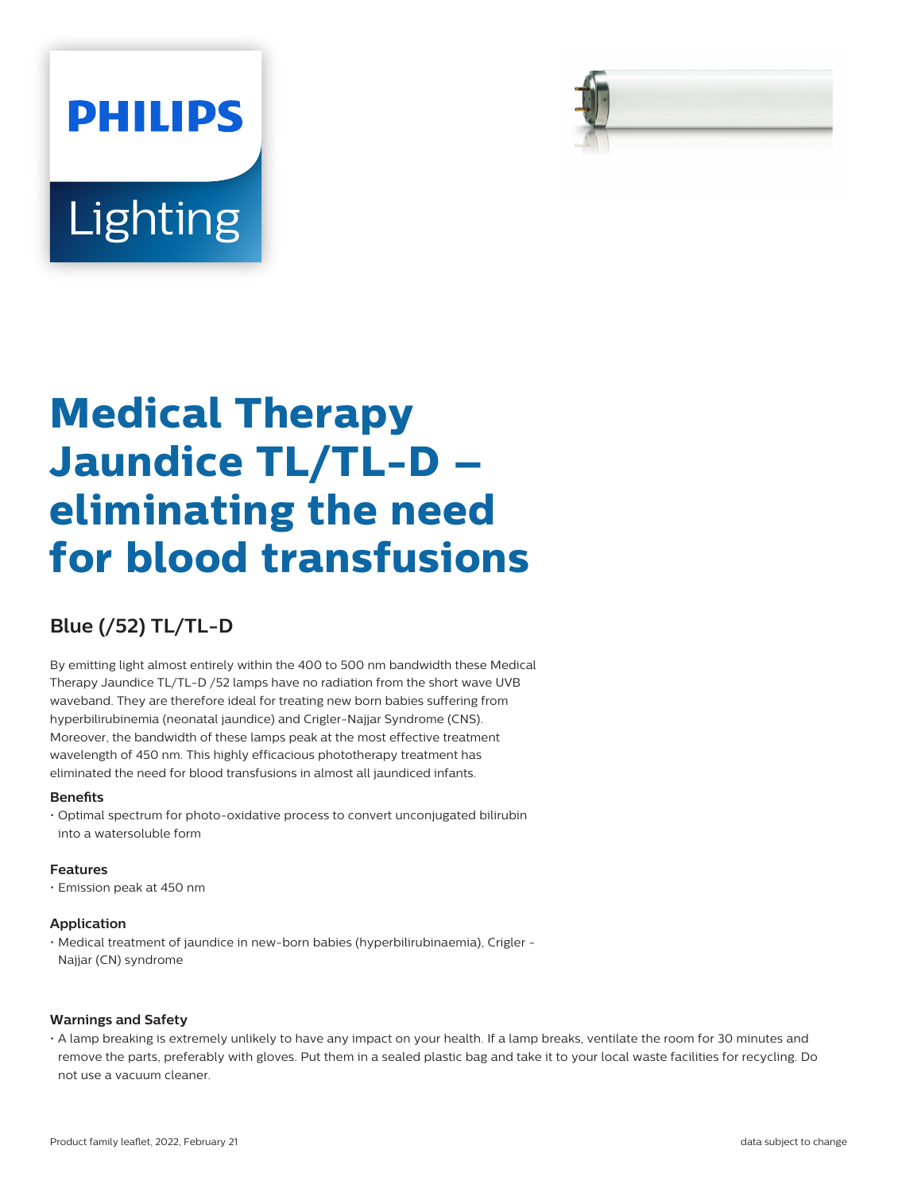



# **Blue (/52) TL/TL-D**

By emitting light almost entirely within the 400 to 500 nm bandwidth these Medical Therapy Jaundice TL/TL-D /52 lamps have no radiation from the short wave UVB waveband. They are therefore ideal for treating new born babies suffering from hyperbilirubinemia (neonatal jaundice) and Crigler-Najjar Syndrome (CNS). Moreover, the bandwidth of these lamps peak at the most effective treatment wavelength of 450 nm. This highly efficacious phototherapy treatment has eliminated the need for blood transfusions in almost all jaundiced infants.

#### **Benets**

• Optimal spectrum for photo-oxidative process to convert unconjugated bilirubin into a watersoluble form

#### **Features**

• Emission peak at 450 nm

#### **Application**

• Medical treatment of jaundice in new-born babies (hyperbilirubinaemia), Crigler - Najjar (CN) syndrome

### **Warnings and Safety**

• A lamp breaking is extremely unlikely to have any impact on your health. If a lamp breaks, ventilate the room for 30 minutes and remove the parts, preferably with gloves. Put them in a sealed plastic bag and take it to your local waste facilities for recycling. Do not use a vacuum cleaner.